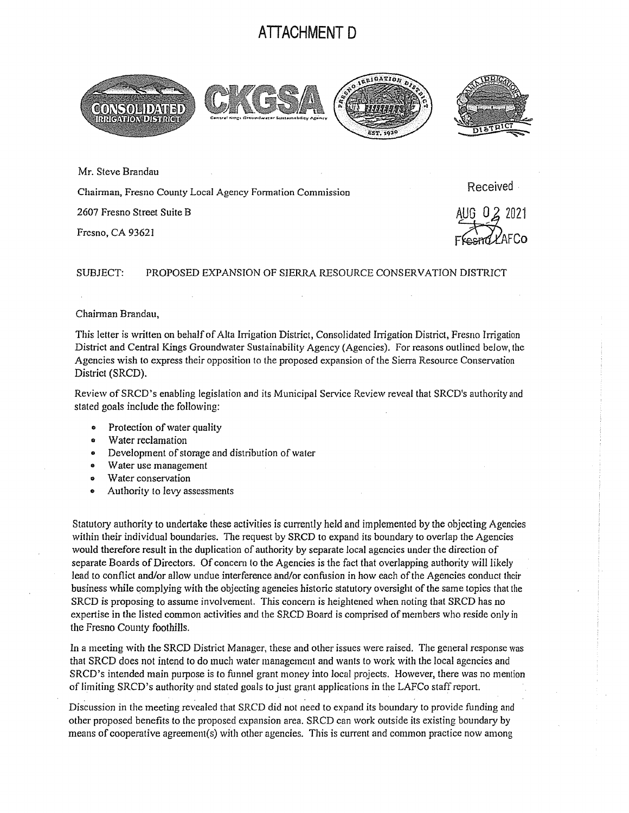## **ATTACHMENT D**



Mr. Steve Brandau

Chairman, Fresno County Local Agency Formation Commission

2607 Fresno Street Suite B

Fresno, CA 93621

Received

 $-29$   $-101$ Ffesnd LAFCo

## SUBJECT: PROPOSED EXPANSION OF SIERRA RESOURCE CONSERVATION DISTRICT

## Chairman Brandau,

This letter is written on behalf of Alta Irrigation District, Consolidated Inigation District, Fresno Irrigation District and Central Kings Groundwater Sustainability Agency (Agencies). For reasons outlined below, the Agencies wish to express their opposition to the proposed expansion of the Sierra Resource Conservation District (SRCD).

Review of SRCD's enabling legislation and its Municipal Service Review reveal that SRCD's authority and stated goals include the following:

- Protection of water quality
- Water reclamation
- Development of storage and distribution of water
- Water use management
- Water conservation
- Authority to levy assessments

Statutory authority to undertake these activities is currently held and implemented by the objecting Agencies within their individual boundaries. The request by SRCD to expand its boundary to overlap the Agencies would therefore result in the duplication of authority by separate local agencies under the direction of separate Boards of Directors. Of concern to the Agencies is the fact that overlapping authority will likely lead to conflict and/or allow undue interference and/or confusion in how each of the Agencies conduct their business while complying with the objecting agencies historic statutory oversight of the same topics that the SRCD is proposing to assume involvement. This concern is heightened when noting that SRCD has no expertise in the listed common activities and the SRCD Board is comprised of members who reside only in the Fresno County foothills.

In a meeting with the SRCD District Manager, these and other issues were raised. The general response was that SRCD does not intend to do much water management and wants to work with the local agencies and SRCD's intended main purpose is to funnel grant money into local projects. However, there was no mention of limiting SRCD's authority and stated goals to just grant applications in the LAFCo staff report.

Discussion in the meeting revealed that SRCD did not need to expand its boundary to provide funding and other proposed benefits to the proposed expansion area. SRCD can work outside its existing boundary by means of cooperative agreement(s) with other agencies. This is current and common practice now among